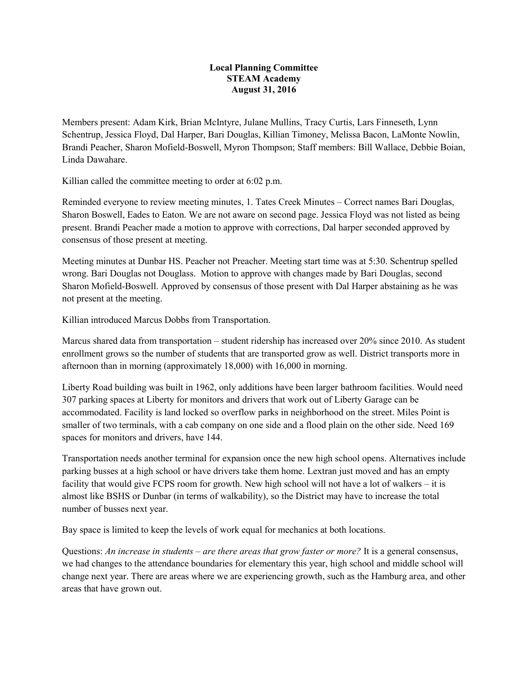## **Local Planning Committee STEAM Academy August 31, 2016**

Members present: Adam Kirk, Brian McIntyre, Julane Mullins, Tracy Curtis, Lars Finneseth, Lynn Schentrup, Jessica Floyd, Dal Harper, Bari Douglas, Killian Timoney, Melissa Bacon, LaMonte Nowlin, Brandi Peacher, Sharon Mofield-Boswell, Myron Thompson; Staff members: Bill Wallace, Debbie Boian, Linda Dawahare.

Killian called the committee meeting to order at 6:02 p.m.

Reminded everyone to review meeting minutes, 1. Tates Creek Minutes – Correct names Bari Douglas, Sharon Boswell, Eades to Eaton. We are not aware on second page. Jessica Floyd was not listed as being present. Brandi Peacher made a motion to approve with corrections, Dal harper seconded approved by consensus of those present at meeting.

Meeting minutes at Dunbar HS. Peacher not Preacher. Meeting start time was at 5:30. Schentrup spelled wrong. Bari Douglas not Douglass. Motion to approve with changes made by Bari Douglas, second Sharon Mofield-Boswell. Approved by consensus of those present with Dal Harper abstaining as he was not present at the meeting.

Killian introduced Marcus Dobbs from Transportation.

Marcus shared data from transportation – student ridership has increased over 20% since 2010. As student enrollment grows so the number of students that are transported grow as well. District transports more in afternoon than in morning (approximately 18,000) with 16,000 in morning.

Liberty Road building was built in 1962, only additions have been larger bathroom facilities. Would need 307 parking spaces at Liberty for monitors and drivers that work out of Liberty Garage can be accommodated. Facility is land locked so overflow parks in neighborhood on the street. Miles Point is smaller of two terminals, with a cab company on one side and a flood plain on the other side. Need 169 spaces for monitors and drivers, have 144.

Transportation needs another terminal for expansion once the new high school opens. Alternatives include parking busses at a high school or have drivers take them home. Lextran just moved and has an empty facility that would give FCPS room for growth. New high school will not have a lot of walkers – it is almost like BSHS or Dunbar (in terms of walkability), so the District may have to increase the total number of busses next year.

Bay space is limited to keep the levels of work equal for mechanics at both locations.

Questions: *An increase in students – are there areas that grow faster or more?* It is a general consensus, we had changes to the attendance boundaries for elementary this year, high school and middle school will change next year. There are areas where we are experiencing growth, such as the Hamburg area, and other areas that have grown out.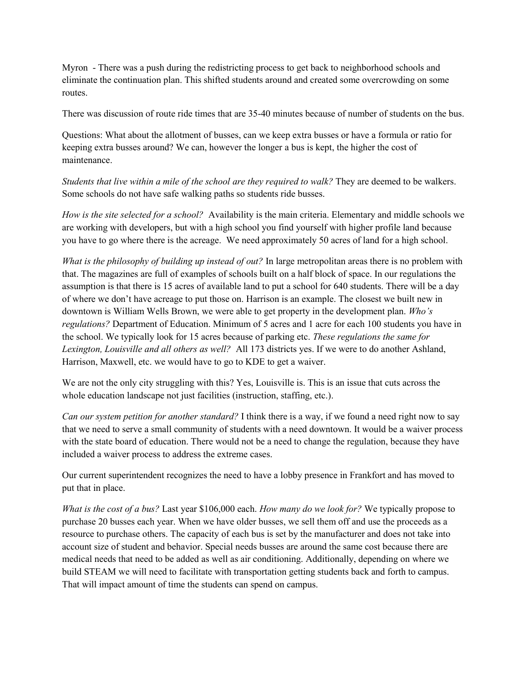Myron - There was a push during the redistricting process to get back to neighborhood schools and eliminate the continuation plan. This shifted students around and created some overcrowding on some routes.

There was discussion of route ride times that are 35-40 minutes because of number of students on the bus.

Questions: What about the allotment of busses, can we keep extra busses or have a formula or ratio for keeping extra busses around? We can, however the longer a bus is kept, the higher the cost of maintenance.

*Students that live within a mile of the school are they required to walk?* They are deemed to be walkers. Some schools do not have safe walking paths so students ride busses.

*How is the site selected for a school?* Availability is the main criteria. Elementary and middle schools we are working with developers, but with a high school you find yourself with higher profile land because you have to go where there is the acreage. We need approximately 50 acres of land for a high school.

*What is the philosophy of building up instead of out?* In large metropolitan areas there is no problem with that. The magazines are full of examples of schools built on a half block of space. In our regulations the assumption is that there is 15 acres of available land to put a school for 640 students. There will be a day of where we don't have acreage to put those on. Harrison is an example. The closest we built new in downtown is William Wells Brown, we were able to get property in the development plan. *Who's regulations?* Department of Education. Minimum of 5 acres and 1 acre for each 100 students you have in the school. We typically look for 15 acres because of parking etc. *These regulations the same for Lexington, Louisville and all others as well?* All 173 districts yes. If we were to do another Ashland, Harrison, Maxwell, etc. we would have to go to KDE to get a waiver.

We are not the only city struggling with this? Yes, Louisville is. This is an issue that cuts across the whole education landscape not just facilities (instruction, staffing, etc.).

*Can our system petition for another standard?* I think there is a way, if we found a need right now to say that we need to serve a small community of students with a need downtown. It would be a waiver process with the state board of education. There would not be a need to change the regulation, because they have included a waiver process to address the extreme cases.

Our current superintendent recognizes the need to have a lobby presence in Frankfort and has moved to put that in place.

*What is the cost of a bus?* Last year \$106,000 each. *How many do we look for?* We typically propose to purchase 20 busses each year. When we have older busses, we sell them off and use the proceeds as a resource to purchase others. The capacity of each bus is set by the manufacturer and does not take into account size of student and behavior. Special needs busses are around the same cost because there are medical needs that need to be added as well as air conditioning. Additionally, depending on where we build STEAM we will need to facilitate with transportation getting students back and forth to campus. That will impact amount of time the students can spend on campus.